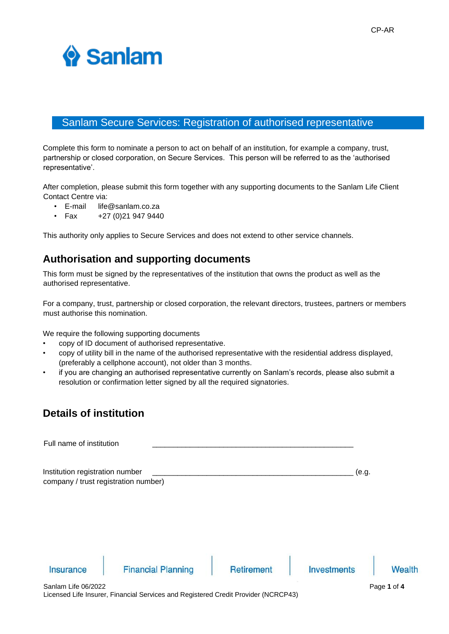

# Sanlam Secure Services: Registration of authorised representative

Complete this form to nominate a person to act on behalf of an institution, for example a company, trust, partnership or closed corporation, on Secure Services. This person will be referred to as the 'authorised representative'.

After completion, please submit this form together with any supporting documents to the Sanlam Life Client Contact Centre via:

- E-mail life@sanlam.co.za
- Fax  $+27(0)219479440$

This authority only applies to Secure Services and does not extend to other service channels.

#### **Authorisation and supporting documents**

This form must be signed by the representatives of the institution that owns the product as well as the authorised representative.

For a company, trust, partnership or closed corporation, the relevant directors, trustees, partners or members must authorise this nomination.

We require the following supporting documents

- copy of ID document of authorised representative.
- copy of utility bill in the name of the authorised representative with the residential address displayed, (preferably a cellphone account), not older than 3 months.
- if you are changing an authorised representative currently on Sanlam's records, please also submit a resolution or confirmation letter signed by all the required signatories.

### **Details of institution**

| Full name of institution                                                |                           |                   |                    |       |               |
|-------------------------------------------------------------------------|---------------------------|-------------------|--------------------|-------|---------------|
| Institution registration number<br>company / trust registration number) |                           |                   |                    | (e.g. |               |
| <b>Insurance</b>                                                        | <b>Financial Planning</b> | <b>Retirement</b> | <b>Investments</b> |       | <b>Wealth</b> |
|                                                                         |                           |                   |                    |       |               |
| Sanlam Life 06/2022                                                     |                           |                   |                    |       | Page 1 of 4   |

Licensed Life Insurer, Financial Services and Registered Credit Provider (NCRCP43)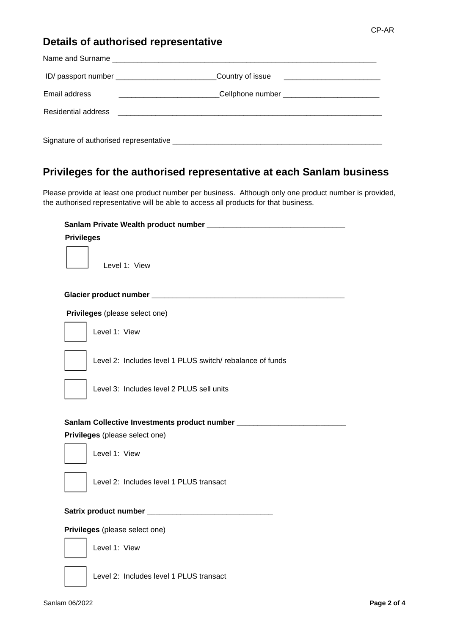## **Details of authorised representative**

| ID/ passport number _______________________________Country of issue ________________________________ |                                                 |
|------------------------------------------------------------------------------------------------------|-------------------------------------------------|
| Email address                                                                                        | _Cellphone number _____________________________ |
|                                                                                                      |                                                 |
|                                                                                                      |                                                 |

## **Privileges for the authorised representative at each Sanlam business**

Please provide at least one product number per business. Although only one product number is provided, the authorised representative will be able to access all products for that business.

| <b>Privileges</b>                                                                |  |  |  |  |
|----------------------------------------------------------------------------------|--|--|--|--|
| Level 1: View                                                                    |  |  |  |  |
|                                                                                  |  |  |  |  |
| Privileges (please select one)                                                   |  |  |  |  |
| Level 1: View                                                                    |  |  |  |  |
| Level 2: Includes level 1 PLUS switch/rebalance of funds                         |  |  |  |  |
| Level 3: Includes level 2 PLUS sell units                                        |  |  |  |  |
| Sanlam Collective Investments product number ___________________________________ |  |  |  |  |
| Privileges (please select one)                                                   |  |  |  |  |
| Level 1: View                                                                    |  |  |  |  |
| Level 2: Includes level 1 PLUS transact                                          |  |  |  |  |
|                                                                                  |  |  |  |  |
| Privileges (please select one)                                                   |  |  |  |  |
| Level 1: View                                                                    |  |  |  |  |
| Level 2: Includes level 1 PLUS transact                                          |  |  |  |  |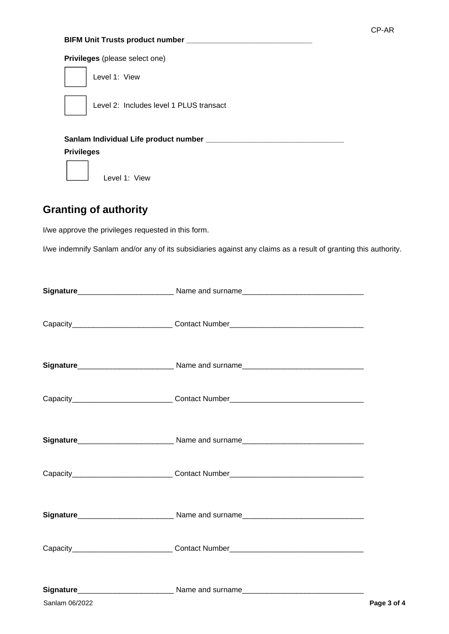#### **Privileges** (please select one)



Level 2: Includes level 1 PLUS transact

**Sanlam Individual Life product number \_\_\_\_\_\_\_\_\_\_\_\_\_\_\_\_\_\_\_\_\_\_\_\_\_\_\_\_\_\_\_\_\_**

#### **Privileges**

Level 1: View

## **Granting of authority**

I/we approve the privileges requested in this form.

I/we indemnify Sanlam and/or any of its subsidiaries against any claims as a result of granting this authority.

|                | Capacity_______________________________Contact Number___________________________ |             |
|----------------|----------------------------------------------------------------------------------|-------------|
|                |                                                                                  |             |
|                | Capacity_____________________________Contact Number_____________________________ |             |
|                |                                                                                  |             |
|                | Capacity_______________________________Contact Number___________________________ |             |
|                |                                                                                  |             |
|                | Capacity______________________________Contact Number____________________________ |             |
|                |                                                                                  |             |
| Sanlam 06/2022 |                                                                                  | Page 3 of 4 |